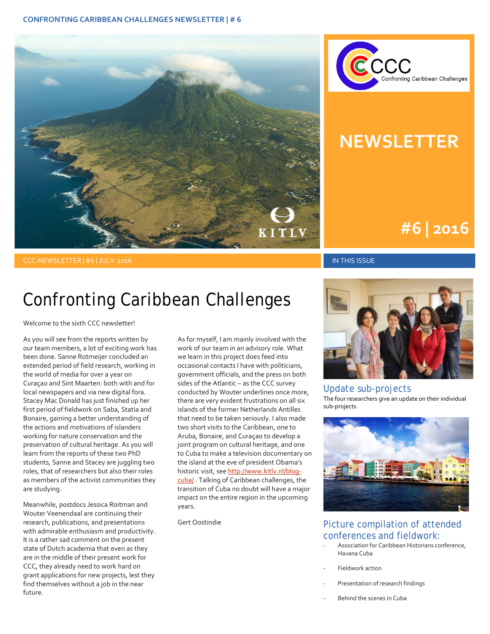



## **NEWSLETTER**

### **#1 | 2015 #6 | 2016**

### CCC-NEWSLETTER | #6 | JULY 2016 IN THIS ISSUE

### Confronting Caribbean Challenges

Welcome to the sixth CCC newsletter!

As you will see from the reports written by our team members, a lot of exciting work has been done. Sanne Rotmeijer concluded an extended period of field research, working in the world of media for over a year on Curaçao and Sint Maarten: both with and for local newspapers and via new digital fora. Stacey Mac Donald has just finished up her first period of fieldwork on Saba, Statia and Bonaire, gaining a better understanding of the actions and motivations of islanders working for nature conservation and the preservation of cultural heritage. As you will learn from the reports of these two PhD students, Sanne and Stacey are juggling two roles, that of researchers but also their roles as members of the activist communities they are studying.

Meanwhile, postdocs Jessica Roitman and Wouter Veenendaal are continuing their research, publications, and presentations with admirable enthusiasm and productivity. It is a rather sad comment on the present state of Dutch academia that even as they are in the middle of their present work for CCC, they already need to work hard on grant applications for new projects, lest they find themselves without a job in the near future.

As for myself, I am mainly involved with the work of our team in an advisory role. What we learn in this project does feed into occasional contacts I have with politicians, government officials, and the press on both sides of the Atlantic – as the CCC survey conducted by Wouter underlines once more, there are very evident frustrations on all six islands of the former Netherlands Antilles that need to be taken seriously. I also made two short visits to the Caribbean, one to Aruba, Bonaire, and Curaçao to develop a joint program on cultural heritage, and one to Cuba to make a television documentary on the island at the eve of president Obama's historic visit, see http://www.kitly.nl/blog[cuba/](http://www.kitlv.nl/blog-cuba/). Talking of Caribbean challenges, the transition of Cuba no doubt will have a major impact on the entire region in the upcoming years.

Gert Oostindie



Update sub-projects The four researchers give an update on their individual sub-projects.



### Picture compilation of attended conferences and fieldwork:

- Association for Caribbean Historians conference, Havana Cuba
- Fieldwork action
- Presentation of research findings
- Behind the scenes in Cuba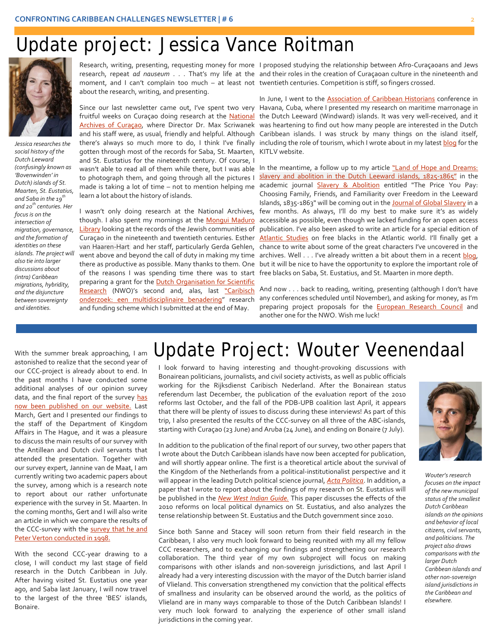### Update project: Jessica Vance Roitman



*Jessica researches the social history of the Dutch Leeward (confusingly known as 'Bovenwinden' in Dutch) islands of St. Maarten, St. Eustatius, and Saba in the 19th and 20th centuries. Her focus is on the intersection of migration, governance, and the formation of identities on these islands. The project will also tie into larger discussions about (intra) Caribbean migrations, hybridity, and the disjuncture between sovereignty and identities.*

about the research, writing, and presenting.

gotten through most of the records for Saba, St. Maarten, KITLV website. and St. Eustatius for the nineteenth century. Of course, I wasn't able to read all of them while there, but I was able to photograph them, and going through all the pictures I learn a lot about the history of islands.

I wasn't only doing research at the National Archives, though. I also spent my mornings at the Mongui Maduro [Library](http://www.madurolibrary.org/) looking at the records of the Jewish communities of of the reasons I was spending time there was to start free blacks on Saba, St. Eustatius, and St. Maarten in more depth. preparing a grant for the **Dutch Organisation for Scientific** [Research](http://www.nwo.nl/) (NWO)'s second and, alas, last "Caribisch [onderzoek: een multidisciplinaire benadering"](http://www.nwo.nl/onderzoek-en-resultaten/programmas/Caribisch+onderzoek_x003a_+een+multidisciplinaire+benadering) research and funding scheme which I submitted at the end of May.

Research, writing, presenting, requesting money for more I proposed studying the relationship between Afro-Curaçaoans and Jews research, repeat ad nauseum . . . That's my life at the and their roles in the creation of Curaçaoan culture in the nineteenth and moment, and I can't complain too much – at least not twentieth centuries. Competition is stiff, so fingers crossed.

Since our last newsletter came out, I've spent two very Havana, Cuba, where I presented my research on maritime marronage in fruitful weeks on Curaçao doing research at the [National](http://www.nationalarchives.cw/) the Dutch Leeward (Windward) islands. It was very well-received, and it [Archives of Curaçao,](http://www.nationalarchives.cw/) where Director Dr. Max Scriwanek was heartening to find out how many people are interested in the Dutch and his staff were, as usual, friendly and helpful. Although Caribbean islands. I was struck by many things on the island itself, there's always so much more to do, I think I've finally including the role of tourism, which I wrote about in my latest **blog** for the In June, I went to the **Association of Caribbean Historians** conference in

made is taking a lot of time – not to mention helping me academic journal [Slavery & Abolition](http://www.tandfonline.com/toc/fsla20/current) entitled "The Price You Pay: Curaçao in the nineteenth and twentieth centuries. Esther **[Atlantic Studies](http://www.tandfonline.com/toc/rjas20/current)** on free blacks in the Atlantic world. I'll finally get a van Haaren-Hart and her staff, particularly Gerda Gehlen, chance to write about some of the great characters I've uncovered in the went above and beyond the call of duty in making my time archives. Well . . . I've already written a bit about them in a recen[t blog,](http://www.kitlv.nl/blog-lost-now-found/) there as productive as possible. Many thanks to them. One but it will be nice to have the opportunity to explore the important role of In the meantime, a follow up to my article "Land of Hope and Dreams: [slavery and abolition in the Dutch Leeward islands, 1825-1865"](https://www.academia.edu/22790036/Land_of_Hope_and_Dreams_slavery_and_abolition_in_the_Dutch_Leeward_islands_1825-1865) in the Choosing Family, Friends, and Familiarity over Freedom in the Leeward Islands, 1835-1863" will be coming out in th[e Journal of Global Slavery](http://www.brill.com/products/journal/journal-global-slavery) in a few months. As always, I'll do my best to make sure it's as widely accessible as possible, even though we lacked funding for an open access publication. I've also been asked to write an article for a special edition of

> And now . . . back to reading, writing, presenting (although I don't have any conferences scheduled until November), and asking for money, as I'm preparing project proposals for the **[European Research Council](https://ec.europa.eu/research/participants/portal/desktop/en/opportunities/h2020/calls/erc-2016-stg.html#c,topics=callIdentifier/t/ERC-2016-STG/1/1/1/default-group&callStatus/t/Forthcoming/1/1/0/default-group&callStatus/t/Open/1/1/0/default-group&callStatus/t/Closed/1/1/0/default-group&+identifier/desc)** and another one for the NWO. Wish me luck!

With the summer break approaching, I am astonished to realize that the second year of our CCC-project is already about to end. In the past months I have conducted some additional analyses of our opinion survey data, and the final report of the survey has [now been published on our website.](http://www.kitlv.nl/wp-content/uploads/2016/04/Eindrapport-CCC-Opinieonderzoek.pdf) Last March, Gert and I presented our findings to the staff of the Department of Kingdom Affairs in The Hague, and it was a pleasure to discuss the main results of our survey with the Antillean and Dutch civil servants that attended the presentation. Together with our survey expert, Jannine van de Maat, I am currently writing two academic papers about the survey, among which is a research note to report about our rather unfortunate experience with the survey in St. Maarten. In the coming months, Gert and I will also write an article in which we compare the results of the CCC-survey with the survey that he and [Peter Verton conducted in 1998.](https://www.jstor.org/stable/41849891?seq=1#page_scan_tab_contents)

With the second CCC-year drawing to a close, I will conduct my last stage of field research in the Dutch Caribbean in July. After having visited St. Eustatius one year ago, and Saba last January, I will now travel to the largest of the three 'BES' islands, Bonaire.

### Update Project: Wouter Veenendaal

I look forward to having interesting and thought-provoking discussions with Bonairean politicians, journalists, and civil society activists, as well as public officials working for the Rijksdienst Caribisch Nederland. After the Bonairean status referendum last December, the publication of the evaluation report of the 2010 reforms last October, and the fall of the PDB-UPB coalition last April, it appears that there will be plenty of issues to discuss during these interviews! As part of this trip, I also presented the results of the CCC-survey on all three of the ABC-islands, starting with Curaçao (23 June) and Aruba (24 June), and ending on Bonaire (7 July).

In addition to the publication of the final report of our survey, two other papers that I wrote about the Dutch Caribbean islands have now been accepted for publication, and will shortly appear online. The first is a theoretical article about the survival of the Kingdom of the Netherlands from a political-institutionalist perspective and it will appear in the leading Dutch political science journal, *[Acta Politica](http://www.springer.com/social+sciences/political+science/journal/41269)*. In addition, a paper that I wrote to report about the findings of my research on St. Eustatius will be published in the *[New West Indian Guide.](http://booksandjournals.brillonline.com/content/journals/22134360)* This paper discusses the effects of the 2010 reforms on local political dynamics on St. Eustatius, and also analyzes the tense relationship between St. Eustatius and the Dutch government since 2010.

Since both Sanne and Stacey will soon return from their field research in the Caribbean, I also very much look forward to being reunited with my all my fellow CCC researchers, and to exchanging our findings and strengthening our research collaboration. The third year of my own subproject will focus on making comparisons with other islands and non-sovereign jurisdictions, and last April I already had a very interesting discussion with the mayor of the Dutch barrier island of Vlieland. This conversation strengthened my conviction that the political effects of smallness and insularity can be observed around the world, as the politics of Vlieland are in many ways comparable to those of the Dutch Caribbean Islands! I very much look forward to analyzing the experience of other small island jurisdictions in the coming year.



*Wouter's research focuses on the impact of the new municipal status of the smallest Dutch Caribbean islands on the opinions and behavior of local citizens, civil servants, and politicians. The project also draws comparisons with the larger Dutch Caribbean islands and other non-sovereign island jurisdictions in the Caribbean and elsewhere.*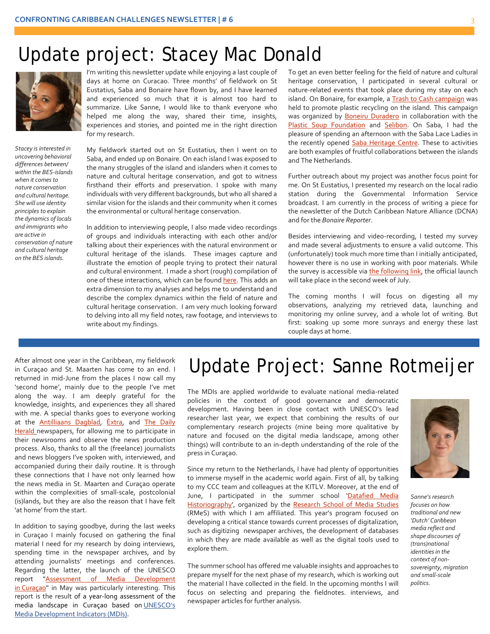### Update project: Stacey Mac Donald



*Stacey is interested in uncovering behavioral differences between/ within the BES-islands when it comes to nature conservation and cultural heritage. She will use identity principles to explain the dynamics of locals and immigrants who are active in conservation of nature and cultural heritage on the BES islands.*

I'm writing this newsletter update while enjoying a last couple of days at home on Curacao. Three months' of fieldwork on St Eustatius, Saba and Bonaire have flown by, and I have learned and experienced so much that it is almost too hard to summarize. Like Sanne, I would like to thank everyone who helped me along the way, shared their time, insights, experiences and stories, and pointed me in the right direction for my research.

My fieldwork started out on St Eustatius, then I went on to Saba, and ended up on Bonaire. On each island I was exposed to the many struggles of the island and islanders when it comes to nature and cultural heritage conservation, and got to witness firsthand their efforts and preservation. I spoke with many individuals with very different backgrounds, but who all shared a similar vision for the islands and their community when it comes the environmental or cultural heritage conservation.

In addition to interviewing people, I also made video recordings of groups and individuals interacting with each other and/or talking about their experiences with the natural environment or cultural heritage of the islands. These images capture and illustrate the emotion of people trying to protect their natural and cultural environment. I made a short (rough) compilation of one of these interactions, which can be foun[d here.](https://www.facebook.com/ConfrontingCaribbeanChallenges/videos) This adds an extra dimension to my analyses and helps me to understand and describe the complex dynamics within the field of nature and cultural heritage conservation. I am very much looking forward to delving into all my field notes, raw footage, and interviews to write about my findings.

To get an even better feeling for the field of nature and cultural heritage conservation, I participated in several cultural or nature-related events that took place during my stay on each island. On Bonaire, for example, a [Trash to Cash campaign](http://www.boneiruduradero.nl/?p=698) was held to promote plastic recycling on the island. This campaign was organized by **Boneiru Duradero** in collaboration with the [Plastic Soup Foundation](https://www.facebook.com/plasticsoupfoundationnl/?fref=ts) and [Selibon.](https://www.facebook.com/Selibon-NV-482700451810005/?fref=ts) On Saba, I had the pleasure of spending an afternoon with the Saba Lace Ladies in the recently opened [Saba Heritage Centre.](https://www.facebook.com/SabaHeritage/?fref=ts) These to activities are both examples of fruitful collaborations between the islands and The Netherlands.

Further outreach about my project was another focus point for me. On St Eustatius, I presented my research on the local radio station during the Governmental Information Service broadcast. I am currently in the process of writing a piece for the newsletter of the Dutch Caribbean Nature Alliance (DCNA) and for the *Bonaire Reporter*.

Besides interviewing and video-recording, I tested my survey and made several adjustments to ensure a valid outcome. This (unfortunately) took much more time than I initially anticipated, however there is no use in working with poor materials. While the survey is accessible vi[a the following link,](https://leidenuniv.eu.qualtrics.com/SE/?SID=SV_6icEjttkIMFAnQh) the official launch will take place in the second week of July.

The coming months I will focus on digesting all my observations, analyzing my retrieved data, launching and monitoring my online survey, and a whole lot of writing. But first: soaking up some more sunrays and energy these last couple days at home.

After almost one year in the Caribbean, my fieldwork in Curaçao and St. Maarten has come to an end. I returned in mid-June from the places I now call my 'second home', mainly due to the people I've met along the way. I am deeply grateful for the knowledge, insights, and experiences they all shared with me. A special thanks goes to everyone working at the **[Antilliaans Dagblad,](http://www.antilliaansdagblad.com/) Extra, and The Daily** [Herald](https://thedailyherald.sx/) newspapers, for allowing me to participate in their newsrooms and observe the news production process. Also, thanks to all the (freelance) journalists and news bloggers I've spoken with, interviewed, and accompanied during their daily routine. It is through these connections that I have not only learned how the news media in St. Maarten and Curaçao operate within the complexities of small-scale, postcolonial (is)lands, but they are also the reason that I have felt 'at home' from the start.

In addition to saying goodbye, during the last weeks in Curaçao I mainly focused on gathering the final material I need for my research by doing interviews, spending time in the newspaper archives, and by attending journalists' meetings and conferences. Regarding the latter, the launch of the UNESCO report ["Assessment of Media Development](http://www.unesco.org/new/en/communication-and-information/resources/publications-and-communication-materials/publications/full-list/assessment-of-media-development-in-curacao/)  in [Curaçao"](http://www.unesco.org/new/en/communication-and-information/resources/publications-and-communication-materials/publications/full-list/assessment-of-media-development-in-curacao/) in May was particularly interesting. This report is the result of a year-long assessment of the media landscape in Curaçao based on [UNESCO's](http://www.unesco.org/new/en/communication-and-information/resources/publications-and-communication-materials/publications/full-list/media-development-indicators-a-framework-for-assessing-media-development/)  [Media Development Indicators \(MDIs\).](http://www.unesco.org/new/en/communication-and-information/resources/publications-and-communication-materials/publications/full-list/media-development-indicators-a-framework-for-assessing-media-development/)

# Update Project: Sanne Rotmeijer

The MDIs are applied worldwide to evaluate national media-related policies in the context of good governance and democratic development. Having been in close contact with UNESCO's lead researcher last year, we expect that combining the results of our complementary research projects (mine being more qualitative by nature and focused on the digital media landscape, among other things) will contribute to an in-depth understanding of the role of the press in Curaçao.

Since my return to the Netherlands, I have had plenty of opportunities to immerse myself in the academic world again. First of all, by talking to my CCC team and colleagues at the KITLV. Moreover, at the end of June, I participated in the summer school 'Datafied Media [Historiography',](http://www.rmes.nl/rmes-summer-school-2016/) organized by the [Research School of Media Studies](http://www.rmes.nl/) (RMeS) with which I am affiliated. This year's program focused on developing a critical stance towards current processes of digitalization, such as digitizing newspaper archives, the development of databases in which they are made available as well as the digital tools used to explore them.

The summer school has offered me valuable insights and approaches to prepare myself for the next phase of my research, which is working out the material I have collected in the field. In the upcoming months I will focus on selecting and preparing the fieldnotes. interviews, and newspaper articles for further analysis.



*Sanne's research focuses on how traditional and new 'Dutch' Caribbean media reflect and shape discourses of (trans)national identities in the context of nonsovereignty, migration and small-scale politics.*